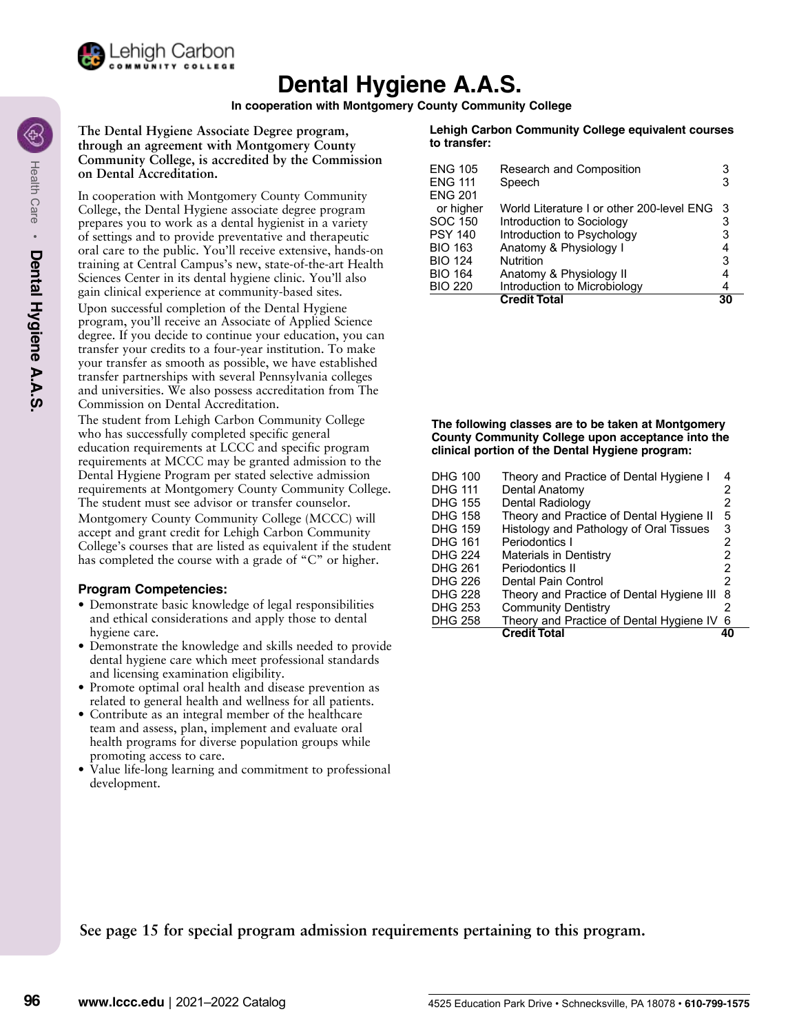

# **Dental Hygiene A.A.S.**

**In cooperation with Montgomery County Community College**

**The Dental Hygiene Associate Degree program, through an agreement with Montgomery County Community College, is accredited by the Commission on Dental Accreditation.** 

In cooperation with Montgomery County Community College, the Dental Hygiene associate degree program prepares you to work as a dental hygienist in a variety of settings and to provide preventative and therapeutic oral care to the public. You'll receive extensive, hands-on training at Central Campus's new, state-of-the-art Health Sciences Center in its dental hygiene clinic. You'll also gain clinical experience at community-based sites. Upon successful completion of the Dental Hygiene program, you'll receive an Associate of Applied Science degree. If you decide to continue your education, you can transfer your credits to a four-year institution. To make your transfer as smooth as possible, we have established transfer partnerships with several Pennsylvania colleges and universities. We also possess accreditation from The Commission on Dental Accreditation.

The student from Lehigh Carbon Community College who has successfully completed specific general education requirements at LCCC and specific program requirements at MCCC may be granted admission to the Dental Hygiene Program per stated selective admission requirements at Montgomery County Community College. The student must see advisor or transfer counselor. Montgomery County Community College (MCCC) will accept and grant credit for Lehigh Carbon Community College's courses that are listed as equivalent if the student has completed the course with a grade of "C" or higher.

#### **Program Competencies:**

- Demonstrate basic knowledge of legal responsibilities and ethical considerations and apply those to dental hygiene care.
- Demonstrate the knowledge and skills needed to provide dental hygiene care which meet professional standards and licensing examination eligibility.
- Promote optimal oral health and disease prevention as related to general health and wellness for all patients.
- Contribute as an integral member of the healthcare team and assess, plan, implement and evaluate oral health programs for diverse population groups while promoting access to care.
- Value life-long learning and commitment to professional development.

#### **Lehigh Carbon Community College equivalent courses to transfer:**

| <b>ENG 105</b><br><b>ENG 111</b><br><b>ENG 201</b> | Research and Composition<br>Speech       | 3<br>3 |
|----------------------------------------------------|------------------------------------------|--------|
| or higher                                          | World Literature Lor other 200-level FNG | 3      |
| <b>SOC 150</b>                                     | Introduction to Sociology                | 3      |
| <b>PSY 140</b>                                     | Introduction to Psychology               | 3      |
| <b>BIO 163</b>                                     | Anatomy & Physiology I                   | 4      |
| <b>BIO 124</b>                                     | <b>Nutrition</b>                         | 3      |
| <b>BIO 164</b>                                     | Anatomy & Physiology II                  |        |
| <b>BIO 220</b>                                     | Introduction to Microbiology             | 4      |
|                                                    | <b>Credit Total</b>                      | 30     |

**The following classes are to be taken at Montgomery County Community College upon acceptance into the clinical portion of the Dental Hygiene program:**

| <b>DHG 100</b> | Theory and Practice of Dental Hygiene I   | 4 |
|----------------|-------------------------------------------|---|
| <b>DHG 111</b> | Dental Anatomy                            | 2 |
| <b>DHG 155</b> | Dental Radiology                          | 2 |
| <b>DHG 158</b> | Theory and Practice of Dental Hygiene II  | 5 |
| <b>DHG 159</b> | Histology and Pathology of Oral Tissues   | 3 |
| <b>DHG 161</b> | Periodontics I                            | 2 |
| <b>DHG 224</b> | <b>Materials in Dentistry</b>             | 2 |
| <b>DHG 261</b> | Periodontics II                           | 2 |
| <b>DHG 226</b> | Dental Pain Control                       | 2 |
| <b>DHG 228</b> | Theory and Practice of Dental Hygiene III | 8 |
| <b>DHG 253</b> | <b>Community Dentistry</b>                | 2 |
| <b>DHG 258</b> | Theory and Practice of Dental Hygiene IV  | 6 |
|                | <b>Credit Total</b>                       |   |

**See page 15 for special program admission requirements pertaining to this program.**